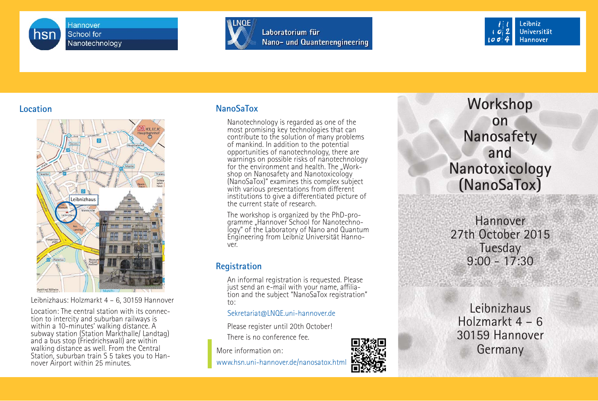





### **Location**



Leibnizhaus: Holzmarkt 4 – 6, 30159 Hannover

Location: The central station with its connection to intercity and suburban railways is<br>within a 10-minutes' walking distance. A subway station (Station Markthalle/ Landtag)<br>and a bus stop (Friedrichswall) are within walking distance as well. From the Central Station, suburban train S 5 takes you to Hannover Airport within 25 minutes.

#### **NanoSaTox**

Nanotechnology is regarded as one of the most promising key technologies that can contribute to the solution of many problems of mankind. In addition to the potential opportunities of nanotechnology, there are warnings on possible risks of nanotechnology for the environment and health. The "Work-<br>shop on Nanosafety and Nanotoxicology (NanoSaTox)" examines this complex subject with various presentations from different institutions to give a differentiated picture of the current state of research.

The workshop is organized by the PhD-programme "Hannover School for Nanotechnology" of the Laboratory of Nano and Quantum Engineering from Leibniz Universität Hannover.

### **Registration**

An informal registration is requested. Please just send an e-mail with your name, affiliation and the subject "NanoSaTox registration" to:

#### Sekretariat@LNQE.uni-hannover.de

Please register until 20th October!

There is no conference fee.

www.hsn.uni-hannover.de/nanosatox.html



**Workshop onNanosafety andNanotoxicology (NanoSaTox)**

Hannover27th October 2015 **Tuesday** 9:00 - 17:30

Leibnizhaus Holzmarkt 4 – 6 30159 Hannover More information on: **ISS WATER AND RESERVED BY A SET OF A SET OF A SET OF A SET OF A SET OF A SET OF A SET OF A SET OF A SET OF A SET OF A SET OF A SET OF A SET OF A SET OF A SET OF A SET OF A SET OF A SET OF A SET OF A S**